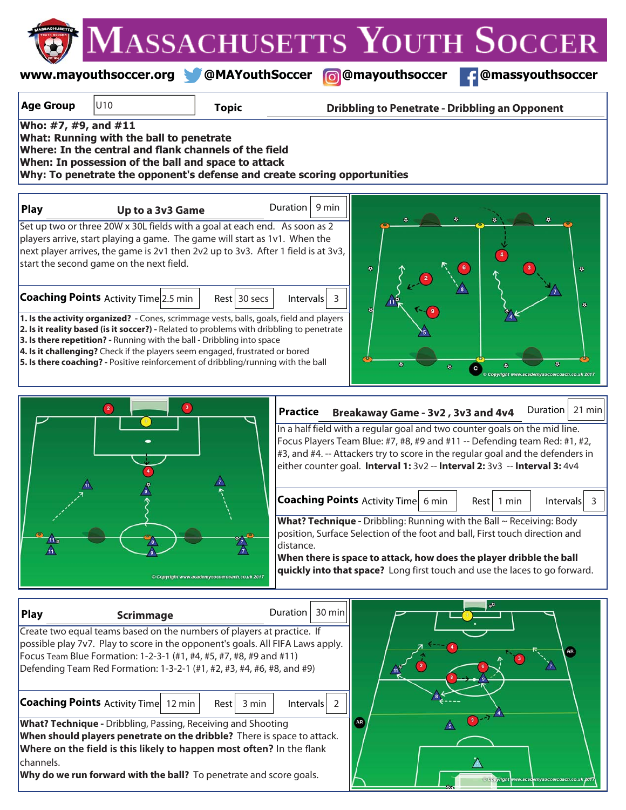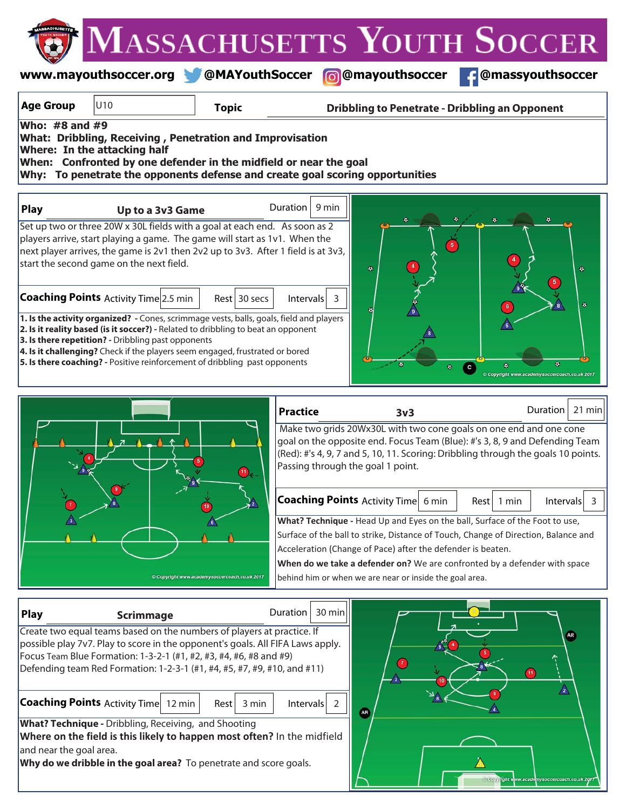**www.mayouthsoccer.org @MAYouthSoccer @mayouthsoccer @massyouthsoccer**

| <b>Age Group</b>                                                  | U10                                                                                                                                                                                                                                                                                                                                                                                                                                              | <b>Topic</b>                                |                                   | <b>Dribbling to Penetrate - Dribbling an Opponent</b>                                                                                                                                                                                                                                     |                                       |                                                      |
|-------------------------------------------------------------------|--------------------------------------------------------------------------------------------------------------------------------------------------------------------------------------------------------------------------------------------------------------------------------------------------------------------------------------------------------------------------------------------------------------------------------------------------|---------------------------------------------|-----------------------------------|-------------------------------------------------------------------------------------------------------------------------------------------------------------------------------------------------------------------------------------------------------------------------------------------|---------------------------------------|------------------------------------------------------|
|                                                                   | Who: #8 and #9<br>What: Dribbling, Receiving, Penetration and Improvisation<br>Where: In the attacking half<br>When: Confronted by one defender in the midfield or near the goal<br>Why: To penetrate the opponents defense and create goal scoring opportunities                                                                                                                                                                                |                                             |                                   |                                                                                                                                                                                                                                                                                           |                                       |                                                      |
| <b>Play</b>                                                       | Up to a 3v3 Game                                                                                                                                                                                                                                                                                                                                                                                                                                 |                                             | Duration<br>9 min                 |                                                                                                                                                                                                                                                                                           |                                       |                                                      |
|                                                                   | Set up two or three 20W x 30L fields with a goal at each end. As soon as 2<br>players arrive, start playing a game. The game will start as 1v1. When the<br>next player arrives, the game is 2v1 then 2v2 up to 3v3. After 1 field is at 3v3,<br>start the second game on the next field.                                                                                                                                                        |                                             |                                   | ۰                                                                                                                                                                                                                                                                                         |                                       | ø.                                                   |
|                                                                   | <b>Coaching Points Activity Time 2.5 min</b><br>1. Is the activity organized? - Cones, scrimmage vests, balls, goals, field and players<br>2. Is it reality based (is it soccer?) - Related to dribbling to beat an opponent<br>3. Is there repetition? - Dribbling past opponents<br>4. Is it challenging? Check if the players seem engaged, frustrated or bored<br>5. Is there coaching? - Positive reinforcement of dribbling past opponents | $Rest$ 30 secs                              | Intervals<br>3                    |                                                                                                                                                                                                                                                                                           | $\bullet$<br>$\bullet$<br>$\mathbf c$ | ۰<br>۰<br>Copyright www.academysoccercoach.co.uk 201 |
|                                                                   |                                                                                                                                                                                                                                                                                                                                                                                                                                                  |                                             | <b>Practice</b>                   | 3v3                                                                                                                                                                                                                                                                                       |                                       | $21$ min<br>Duration                                 |
|                                                                   |                                                                                                                                                                                                                                                                                                                                                                                                                                                  | $\left(11\right)$                           | Passing through the goal 1 point. | Make two grids 20Wx30L with two cone goals on one end and one cone<br>goal on the opposite end. Focus Team (Blue): #'s 3, 8, 9 and Defending Team<br>(Red): #'s 4, 9, 7 and 5, 10, 11. Scoring: Dribbling through the goals 10 points.                                                    |                                       |                                                      |
|                                                                   |                                                                                                                                                                                                                                                                                                                                                                                                                                                  |                                             |                                   | <b>Coaching Points Activity Time</b> 6 min<br>What? Technique - Head Up and Eyes on the ball, Surface of the Foot to use,                                                                                                                                                                 | Rest   1 min                          | $\overline{3}$<br>Intervals                          |
|                                                                   |                                                                                                                                                                                                                                                                                                                                                                                                                                                  | Copyright www.academysoccercoach.co.uk 2017 |                                   | Surface of the ball to strike, Distance of Touch, Change of Direction, Balance and<br>Acceleration (Change of Pace) after the defender is beaten.<br>When do we take a defender on? We are confronted by a defender with space<br>behind him or when we are near or inside the goal area. |                                       |                                                      |
| <b>Play</b>                                                       | <b>Scrimmage</b>                                                                                                                                                                                                                                                                                                                                                                                                                                 |                                             | 30 min<br>Duration                |                                                                                                                                                                                                                                                                                           |                                       |                                                      |
|                                                                   | Create two equal teams based on the numbers of players at practice. If<br>possible play 7v7. Play to score in the opponent's goals. All FIFA Laws apply.<br>Focus Team Blue Formation: 1-3-2-1 (#1, #2, #3, #4, #6, #8 and #9)<br>Defending team Red Formation: 1-2-3-1 (#1, #4, #5, #7, #9, #10, and #11)<br><b>Coaching Points Activity Time</b> 12 min                                                                                        | 3 min<br>Rest                               | Intervals<br>$\overline{2}$       | $\left( \mathbf{v}\right)$                                                                                                                                                                                                                                                                | $\leq$ <sub>8</sub> $\leq$            | AR <sub>.</sub><br>$\mathbf{H}$<br>$\sqrt{2}$        |
| and near the goal area.                                           | What? Technique - Dribbling, Receiving, and Shooting<br>Where on the field is this likely to happen most often? In the midfield                                                                                                                                                                                                                                                                                                                  |                                             |                                   | AR                                                                                                                                                                                                                                                                                        |                                       |                                                      |
| Why do we dribble in the goal area? To penetrate and score goals. |                                                                                                                                                                                                                                                                                                                                                                                                                                                  |                                             |                                   |                                                                                                                                                                                                                                                                                           |                                       |                                                      |

 $\Delta$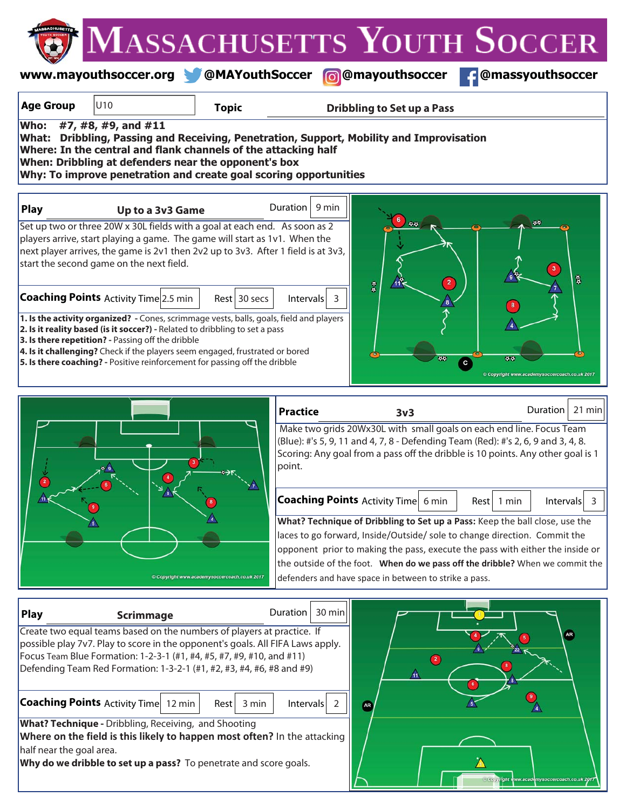|                                                                                                                                                                                                                                                                                                                                                                                                                                                                                                                                                                         |                                      |              |                   |                                   | MASSACHUSETTS YOUTH SOCCER                                                       |        |
|-------------------------------------------------------------------------------------------------------------------------------------------------------------------------------------------------------------------------------------------------------------------------------------------------------------------------------------------------------------------------------------------------------------------------------------------------------------------------------------------------------------------------------------------------------------------------|--------------------------------------|--------------|-------------------|-----------------------------------|----------------------------------------------------------------------------------|--------|
|                                                                                                                                                                                                                                                                                                                                                                                                                                                                                                                                                                         | www.mayouthsoccer.org @MAYouthSoccer |              | ெ                 | @mayouthsoccer                    | @massyouthsoccer                                                                 |        |
| <b>Age Group</b>                                                                                                                                                                                                                                                                                                                                                                                                                                                                                                                                                        | U10                                  | <b>Topic</b> |                   | <b>Dribbling to Set up a Pass</b> |                                                                                  |        |
| <b>Who:</b><br>#7, #8, #9, and #11<br>What: Dribbling, Passing and Receiving, Penetration, Support, Mobility and Improvisation<br>Where: In the central and flank channels of the attacking half<br>When: Dribbling at defenders near the opponent's box<br>Why: To improve penetration and create goal scoring opportunities                                                                                                                                                                                                                                           |                                      |              |                   |                                   |                                                                                  |        |
| Play                                                                                                                                                                                                                                                                                                                                                                                                                                                                                                                                                                    | Up to a 3v3 Game                     |              | 9 min<br>Duration |                                   |                                                                                  |        |
| $\bullet\bullet$<br>44<br>Set up two or three 20W x 30L fields with a goal at each end. As soon as 2<br>players arrive, start playing a game. The game will start as 1v1. When the<br>next player arrives, the game is 2v1 then 2v2 up to 3v3. After 1 field is at 3v3,<br>start the second game on the next field.<br>3 <sup>7</sup><br>3<br>$\overline{\mathbf{2}}$                                                                                                                                                                                                   |                                      |              |                   |                                   |                                                                                  |        |
| $\frac{a}{a}$<br><b>Coaching Points</b> Activity Time 2.5 min<br>$Rest$ 30 secs<br><b>Intervals</b><br>$\overline{3}$<br>1. Is the activity organized? - Cones, scrimmage vests, balls, goals, field and players<br>2. Is it reality based (is it soccer?) - Related to dribbling to set a pass<br>3. Is there repetition? - Passing off the dribble<br>4. Is it challenging? Check if the players seem engaged, frustrated or bored<br>55<br>5. Is there coaching? - Positive reinforcement for passing off the dribble<br>c<br>© Copyright www.academysoccercoach.co. |                                      |              |                   |                                   |                                                                                  |        |
|                                                                                                                                                                                                                                                                                                                                                                                                                                                                                                                                                                         |                                      |              | <b>Practice</b>   | 3v3                               | Duration<br>Make two grids 20Wx30L with small goals on each end line. Focus Team | 21 min |

 Make two grids 20Wx30L with small goals on each end line. Focus Team (Blue): #'s 5, 9, 11 and 4, 7, 8 - Defending Team (Red): #'s 2, 6, 9 and 3, 4, 8. Scoring: Any goal from a pass off the dribble is 10 points. Any other goal is 1 point.

**Coaching Points** Activity Time  $\left| 6 \text{ min} \right|$  Rest  $\left| 1 \text{ min} \right|$  Intervals 3 Rest 1 min

**What? Technique of Dribbling to Set up a Pass:** Keep the ball close, use the laces to go forward, Inside/Outside/ sole to change direction. Commit the opponent prior to making the pass, execute the pass with either the inside or the outside of the foot. **When do we pass off the dribble?** When we commit the defenders and have space in between to strike a pass.

| <b>Play</b><br><b>Scrimmage</b>                                                                                                                          | 30 minl<br>Duration $\vert$ |                                             |
|----------------------------------------------------------------------------------------------------------------------------------------------------------|-----------------------------|---------------------------------------------|
| Create two equal teams based on the numbers of players at practice. If<br>possible play 7v7. Play to score in the opponent's goals. All FIFA Laws apply. |                             | AR                                          |
| Focus Team Blue Formation: 1-2-3-1 (#1, #4, #5, #7, #9, #10, and #11)                                                                                    |                             |                                             |
| Defending Team Red Formation: 1-3-2-1 (#1, #2, #3, #4, #6, #8 and #9)                                                                                    |                             |                                             |
| <b>Coaching Points Activity Time</b><br>12 min                                                                                                           | 3 min<br>Intervals<br>Rest  | <b>AR</b>                                   |
| <b>What? Technique -</b> Dribbling, Receiving, and Shooting                                                                                              |                             |                                             |
| Where on the field is this likely to happen most often? In the attacking                                                                                 |                             |                                             |
| half near the goal area.                                                                                                                                 |                             |                                             |
| Why do we dribble to set up a pass? To penetrate and score goals.                                                                                        |                             | Copyright www.academysoccercoach.co.uk 2017 |

Copyright www.academysoccercoach.co.uk 2017

 $\overline{\mathbf{2}}$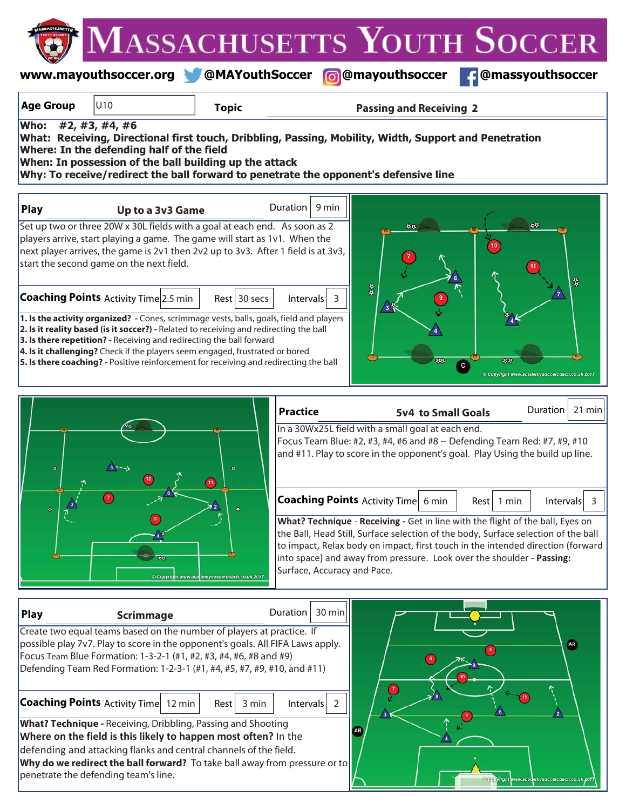|                                                                                                                                                                                                                                                                                                                                                                                                                                                                              |                                                                                                                                                                                                                                                                                                                                                                                                                                                                                                                                                                                                                                                                                                                                                                                 |              |                                                                                                                                                                                                |                                            | <b>ASSACHUSETTS YOUTH SOCCER</b>                                                                                                                          |
|------------------------------------------------------------------------------------------------------------------------------------------------------------------------------------------------------------------------------------------------------------------------------------------------------------------------------------------------------------------------------------------------------------------------------------------------------------------------------|---------------------------------------------------------------------------------------------------------------------------------------------------------------------------------------------------------------------------------------------------------------------------------------------------------------------------------------------------------------------------------------------------------------------------------------------------------------------------------------------------------------------------------------------------------------------------------------------------------------------------------------------------------------------------------------------------------------------------------------------------------------------------------|--------------|------------------------------------------------------------------------------------------------------------------------------------------------------------------------------------------------|--------------------------------------------|-----------------------------------------------------------------------------------------------------------------------------------------------------------|
|                                                                                                                                                                                                                                                                                                                                                                                                                                                                              |                                                                                                                                                                                                                                                                                                                                                                                                                                                                                                                                                                                                                                                                                                                                                                                 |              | www.mayouthsoccer.org @MAYouthSoccer @@mayouthsoccer                                                                                                                                           |                                            | @massyouthsoccer                                                                                                                                          |
| <b>Age Group</b>                                                                                                                                                                                                                                                                                                                                                                                                                                                             | U10                                                                                                                                                                                                                                                                                                                                                                                                                                                                                                                                                                                                                                                                                                                                                                             | <b>Topic</b> |                                                                                                                                                                                                | <b>Passing and Receiving 2</b>             |                                                                                                                                                           |
| <b>Who:</b>                                                                                                                                                                                                                                                                                                                                                                                                                                                                  | #2, #3, #4, #6<br>Where: In the defending half of the field<br>When: In possession of the ball building up the attack                                                                                                                                                                                                                                                                                                                                                                                                                                                                                                                                                                                                                                                           |              | What: Receiving, Directional first touch, Dribbling, Passing, Mobility, Width, Support and Penetration<br>Why: To receive/redirect the ball forward to penetrate the opponent's defensive line |                                            |                                                                                                                                                           |
| <b>Play</b>                                                                                                                                                                                                                                                                                                                                                                                                                                                                  | Up to a 3v3 Game                                                                                                                                                                                                                                                                                                                                                                                                                                                                                                                                                                                                                                                                                                                                                                |              | Duration   $9$ min                                                                                                                                                                             |                                            |                                                                                                                                                           |
|                                                                                                                                                                                                                                                                                                                                                                                                                                                                              | Set up two or three 20W x 30L fields with a goal at each end. As soon as 2<br>players arrive, start playing a game. The game will start as 1v1. When the<br>next player arrives, the game is 2v1 then 2v2 up to 3v3. After 1 field is at 3v3,<br>start the second game on the next field.<br><b>Coaching Points</b> Activity Time 2.5 min<br>1. Is the activity organized? - Cones, scrimmage vests, balls, goals, field and players<br>2. Is it reality based (is it soccer?) - Related to receiving and redirecting the ball<br>3. Is there repetition? - Receiving and redirecting the ball forward<br>4. Is it challenging? Check if the players seem engaged, frustrated or bored<br>5. Is there coaching? - Positive reinforcement for receiving and redirecting the ball | Rest 30 secs | a a<br>$Intervals$ 3                                                                                                                                                                           | 44<br>øø                                   | 44<br>3<br>44<br>c                                                                                                                                        |
|                                                                                                                                                                                                                                                                                                                                                                                                                                                                              |                                                                                                                                                                                                                                                                                                                                                                                                                                                                                                                                                                                                                                                                                                                                                                                 |              | <b>Practice</b>                                                                                                                                                                                | <b>5v4 to Small Goals</b>                  | © Copyright www.academysoccercoach.co.uk 201<br>21 min<br>Duration                                                                                        |
| ۰                                                                                                                                                                                                                                                                                                                                                                                                                                                                            |                                                                                                                                                                                                                                                                                                                                                                                                                                                                                                                                                                                                                                                                                                                                                                                 |              | In a 30Wx25L field with a small goal at each end.                                                                                                                                              |                                            | Focus Team Blue: #2, #3, #4, #6 and #8 -- Defending Team Red: #7, #9, #10<br>and #11. Play to score in the opponent's goal. Play Using the build up line. |
| <b>Coaching Points Activity Time 6 min</b><br>$\Phi$<br>What? Technique - Receiving - Get in line with the flight of the ball, Eyes on<br>the Ball, Head Still, Surface selection of the body, Surface selection of the ball<br>to impact, Relax body on impact, first touch in the intended direction (forward<br>into space) and away from pressure. Look over the shoulder - Passing:<br>88<br>Surface, Accuracy and Pace.<br>Copyright www.academysoccercoach.co.uk 2017 |                                                                                                                                                                                                                                                                                                                                                                                                                                                                                                                                                                                                                                                                                                                                                                                 |              |                                                                                                                                                                                                | <b>Intervals</b><br>Rest l<br>1 min<br>- 3 |                                                                                                                                                           |
| Play                                                                                                                                                                                                                                                                                                                                                                                                                                                                         | <b>Scrimmage</b><br>Create two equal teams based on the number of players at practice. If                                                                                                                                                                                                                                                                                                                                                                                                                                                                                                                                                                                                                                                                                       |              | 30 min<br>Duration                                                                                                                                                                             |                                            |                                                                                                                                                           |
|                                                                                                                                                                                                                                                                                                                                                                                                                                                                              | possible play 7v7. Play to score in the opponent's goals. All FIFA Laws apply.<br>Focus Team Blue Formation: 1-3-2-1 (#1, #2, #3, #4, #6, #8 and #9)<br>Defending Team Red Formation: 1-2-3-1 (#1, #4, #5, #7, #9, #10, and #11)                                                                                                                                                                                                                                                                                                                                                                                                                                                                                                                                                |              |                                                                                                                                                                                                |                                            | $\overline{\bf AB}$                                                                                                                                       |
|                                                                                                                                                                                                                                                                                                                                                                                                                                                                              | <b>Coaching Points</b> Activity Time 12 min<br>Rest<br>3 min<br>$Intervals$ 2<br>$\sqrt{3}$                                                                                                                                                                                                                                                                                                                                                                                                                                                                                                                                                                                                                                                                                     |              |                                                                                                                                                                                                |                                            |                                                                                                                                                           |
|                                                                                                                                                                                                                                                                                                                                                                                                                                                                              | What? Technique - Receiving, Dribbling, Passing and Shooting<br>Where on the field is this likely to happen most often? In the<br>defending and attacking flanks and central channels of the field.<br>Why do we redirect the ball forward? To take ball away from pressure or to<br>penetrate the defending team's line.                                                                                                                                                                                                                                                                                                                                                                                                                                                       |              | <b>AR</b>                                                                                                                                                                                      |                                            | iyright www.academysoccercoach.co.uk 201                                                                                                                  |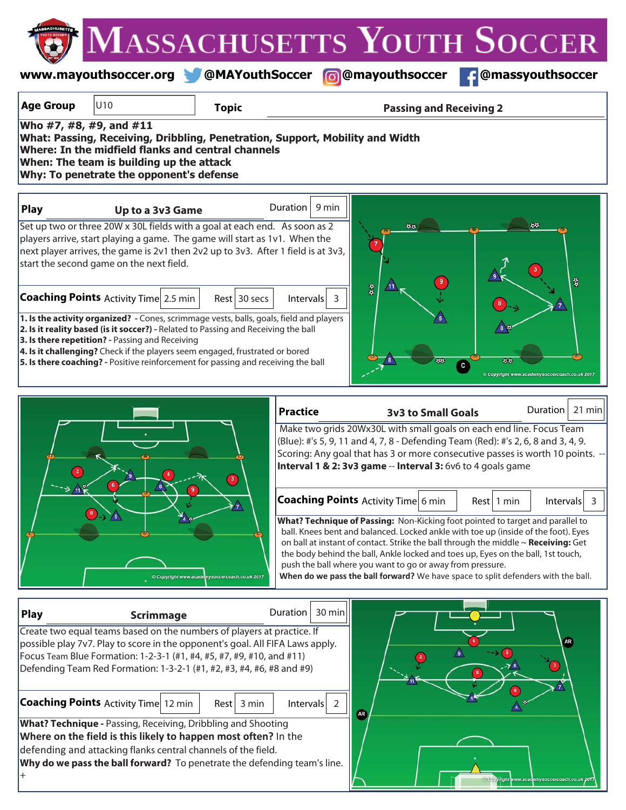|                                                                                                                                                                                                                                                                                                                                                                                                           |                                                                                                                                                                                                                                                                                                                                                                                                       |                                             |                                                                                                                              |                                                           | <b>VLASSACHUSETTS YOUTH SOCCER</b>                                                                                                                                                                                                                                                                                                                                                                                                                                                                                                                                                |
|-----------------------------------------------------------------------------------------------------------------------------------------------------------------------------------------------------------------------------------------------------------------------------------------------------------------------------------------------------------------------------------------------------------|-------------------------------------------------------------------------------------------------------------------------------------------------------------------------------------------------------------------------------------------------------------------------------------------------------------------------------------------------------------------------------------------------------|---------------------------------------------|------------------------------------------------------------------------------------------------------------------------------|-----------------------------------------------------------|-----------------------------------------------------------------------------------------------------------------------------------------------------------------------------------------------------------------------------------------------------------------------------------------------------------------------------------------------------------------------------------------------------------------------------------------------------------------------------------------------------------------------------------------------------------------------------------|
|                                                                                                                                                                                                                                                                                                                                                                                                           | www.mayouthsoccer.org @MAYouthSoccer                                                                                                                                                                                                                                                                                                                                                                  |                                             |                                                                                                                              | <b>6</b> @mayouthsoccer                                   | <b>f</b> @massyouthsoccer                                                                                                                                                                                                                                                                                                                                                                                                                                                                                                                                                         |
| <b>Age Group</b>                                                                                                                                                                                                                                                                                                                                                                                          | U10                                                                                                                                                                                                                                                                                                                                                                                                   | <b>Topic</b>                                |                                                                                                                              | <b>Passing and Receiving 2</b>                            |                                                                                                                                                                                                                                                                                                                                                                                                                                                                                                                                                                                   |
|                                                                                                                                                                                                                                                                                                                                                                                                           | Who #7, #8, #9, and #11<br>What: Passing, Receiving, Dribbling, Penetration, Support, Mobility and Width<br>Where: In the midfield flanks and central channels<br>When: The team is building up the attack<br>Why: To penetrate the opponent's defense                                                                                                                                                |                                             |                                                                                                                              |                                                           |                                                                                                                                                                                                                                                                                                                                                                                                                                                                                                                                                                                   |
| <b>Play</b>                                                                                                                                                                                                                                                                                                                                                                                               | Up to a 3v3 Game                                                                                                                                                                                                                                                                                                                                                                                      |                                             | 9 min<br><b>Duration</b>                                                                                                     |                                                           |                                                                                                                                                                                                                                                                                                                                                                                                                                                                                                                                                                                   |
|                                                                                                                                                                                                                                                                                                                                                                                                           | Set up two or three 20W x 30L fields with a goal at each end. As soon as 2<br>players arrive, start playing a game. The game will start as 1v1. When the<br>next player arrives, the game is 2v1 then 2v2 up to 3v3. After 1 field is at 3v3,<br>start the second game on the next field.<br><b>Coaching Points Activity Time 2.5 min</b>                                                             | $Rest$ 30 secs                              | Intervals<br>-3                                                                                                              | 75<br>$\frac{a}{a}$                                       | 3                                                                                                                                                                                                                                                                                                                                                                                                                                                                                                                                                                                 |
|                                                                                                                                                                                                                                                                                                                                                                                                           | 1. Is the activity organized? - Cones, scrimmage vests, balls, goals, field and players<br>2. Is it reality based (is it soccer?) - Related to Passing and Receiving the ball<br>3. Is there repetition? - Passing and Receiving<br>4. Is it challenging? Check if the players seem engaged, frustrated or bored<br>5. Is there coaching? - Positive reinforcement for passing and receiving the ball |                                             |                                                                                                                              | c                                                         | 44<br>Copyright www.academysoccercoach.co.uk 2017                                                                                                                                                                                                                                                                                                                                                                                                                                                                                                                                 |
| $\overline{\mathbf{2}}$                                                                                                                                                                                                                                                                                                                                                                                   | $\rightarrow$ 6                                                                                                                                                                                                                                                                                                                                                                                       |                                             | <b>Practice</b><br>Interval 1 & 2: 3v3 game -- Interval 3: 6v6 to 4 goals game<br><b>Coaching Points</b> Activity Time 6 min | <b>3v3 to Small Goals</b>                                 | 21 min<br>Duration<br>Make two grids 20Wx30L with small goals on each end line. Focus Team<br>(Blue): #'s 5, 9, 11 and 4, 7, 8 - Defending Team (Red): #'s 2, 6, 8 and 3, 4, 9.<br>Scoring: Any goal that has 3 or more consecutive passes is worth 10 points. --<br>Intervals<br>Rest 1 min<br>$\overline{3}$<br>What? Technique of Passing: Non-Kicking foot pointed to target and parallel to<br>ball. Knees bent and balanced. Locked ankle with toe up (inside of the foot). Eyes<br>on ball at instant of contact. Strike the ball through the middle $\sim$ Receiving: Get |
|                                                                                                                                                                                                                                                                                                                                                                                                           |                                                                                                                                                                                                                                                                                                                                                                                                       | Copyright www.academysoccercoach.co.uk 2017 |                                                                                                                              | push the ball where you want to go or away from pressure. | the body behind the ball, Ankle locked and toes up, Eyes on the ball, 1st touch,<br>When do we pass the ball forward? We have space to split defenders with the ball.                                                                                                                                                                                                                                                                                                                                                                                                             |
| $30 \text{ min}$<br>Duration  <br><b>Play</b><br><b>Scrimmage</b><br>Create two equal teams based on the numbers of players at practice. If<br><b>AR</b><br>possible play 7v7. Play to score in the opponent's goal. All FIFA Laws apply.<br>$\sqrt{9}$<br>Focus Team Blue Formation: 1-2-3-1 (#1, #4, #5, #7, #9, #10, and #11)<br>Defending Team Red Formation: 1-3-2-1 (#1, #2, #3, #4, #6, #8 and #9) |                                                                                                                                                                                                                                                                                                                                                                                                       |                                             |                                                                                                                              |                                                           |                                                                                                                                                                                                                                                                                                                                                                                                                                                                                                                                                                                   |
|                                                                                                                                                                                                                                                                                                                                                                                                           | <b>Coaching Points Activity Time 12 min</b><br>What? Technique - Passing, Receiving, Dribbling and Shooting<br>Where on the field is this likely to happen most often? In the<br>defending and attacking flanks central channels of the field.<br>Why do we pass the ball forward? To penetrate the defending team's line.                                                                            | $Rest$ 3 min                                | Intervals<br>$\overline{2}$<br><b>AR</b>                                                                                     |                                                           | right www.acad<br>emysoccercoaci                                                                                                                                                                                                                                                                                                                                                                                                                                                                                                                                                  |

MASSACHUSETTS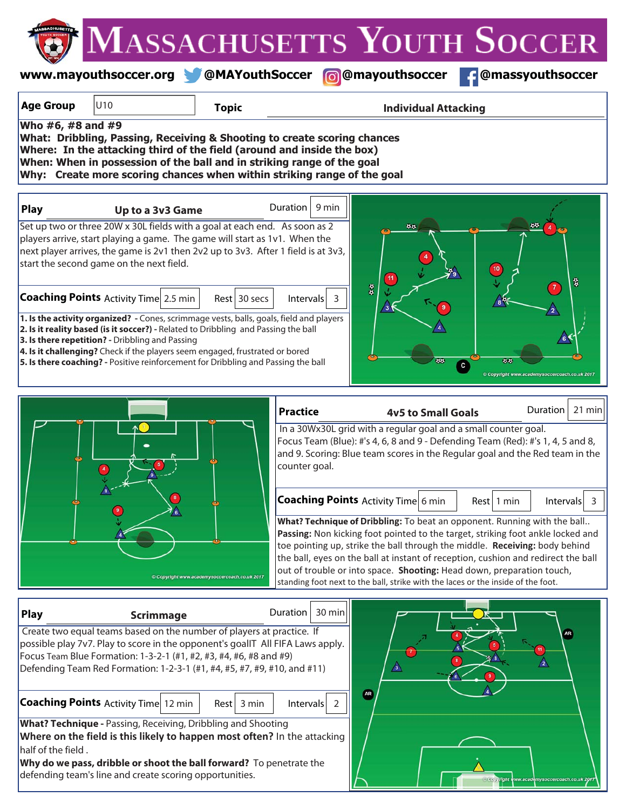|                                                                                                                                                                                                                                                                                                                                                                                                                                                                                                                                                                                                                                                                                                                                                                                                                                                                                                                                                                            |                                                                                                                                                                                                                                                                                                                                                                                                                                                                                                                                                                                                                                                                                                                                                    |                |                   |                             | MASSACHUSETTS YOUTH SOCCER |
|----------------------------------------------------------------------------------------------------------------------------------------------------------------------------------------------------------------------------------------------------------------------------------------------------------------------------------------------------------------------------------------------------------------------------------------------------------------------------------------------------------------------------------------------------------------------------------------------------------------------------------------------------------------------------------------------------------------------------------------------------------------------------------------------------------------------------------------------------------------------------------------------------------------------------------------------------------------------------|----------------------------------------------------------------------------------------------------------------------------------------------------------------------------------------------------------------------------------------------------------------------------------------------------------------------------------------------------------------------------------------------------------------------------------------------------------------------------------------------------------------------------------------------------------------------------------------------------------------------------------------------------------------------------------------------------------------------------------------------------|----------------|-------------------|-----------------------------|----------------------------|
|                                                                                                                                                                                                                                                                                                                                                                                                                                                                                                                                                                                                                                                                                                                                                                                                                                                                                                                                                                            | www.mayouthsoccer.org @MAYouthSoccer @@mayouthsoccer                                                                                                                                                                                                                                                                                                                                                                                                                                                                                                                                                                                                                                                                                               |                |                   |                             | <b>f</b> @massyouthsoccer  |
| <b>Age Group</b>                                                                                                                                                                                                                                                                                                                                                                                                                                                                                                                                                                                                                                                                                                                                                                                                                                                                                                                                                           | U10                                                                                                                                                                                                                                                                                                                                                                                                                                                                                                                                                                                                                                                                                                                                                | <b>Topic</b>   |                   | <b>Individual Attacking</b> |                            |
| Who #6, #8 and #9<br>What: Dribbling, Passing, Receiving & Shooting to create scoring chances<br>Where: In the attacking third of the field (around and inside the box)<br>When: When in possession of the ball and in striking range of the goal<br>Why: Create more scoring chances when within striking range of the goal                                                                                                                                                                                                                                                                                                                                                                                                                                                                                                                                                                                                                                               |                                                                                                                                                                                                                                                                                                                                                                                                                                                                                                                                                                                                                                                                                                                                                    |                |                   |                             |                            |
| Play                                                                                                                                                                                                                                                                                                                                                                                                                                                                                                                                                                                                                                                                                                                                                                                                                                                                                                                                                                       | Up to a 3v3 Game                                                                                                                                                                                                                                                                                                                                                                                                                                                                                                                                                                                                                                                                                                                                   |                | Duration<br>9 min |                             |                            |
|                                                                                                                                                                                                                                                                                                                                                                                                                                                                                                                                                                                                                                                                                                                                                                                                                                                                                                                                                                            | Set up two or three 20W x 30L fields with a goal at each end. As soon as 2<br>players arrive, start playing a game. The game will start as 1v1. When the<br>next player arrives, the game is 2v1 then 2v2 up to 3v3. After 1 field is at 3v3,<br>start the second game on the next field.<br><b>Coaching Points Activity Time 2.5 min</b><br>1. Is the activity organized? - Cones, scrimmage vests, balls, goals, field and players<br>2. Is it reality based (is it soccer?) - Related to Dribbling and Passing the ball<br>3. Is there repetition? - Dribbling and Passing<br>4. Is it challenging? Check if the players seem engaged, frustrated or bored<br>5. Is there coaching? - Positive reinforcement for Dribbling and Passing the ball | $Rest$ 30 secs | $Intervals$ 3     | 48<br>$\frac{6}{9}$         | 뛻                          |
| 21 min<br><b>Duration</b><br><b>Practice</b><br><b>4v5 to Small Goals</b><br>In a 30Wx30L grid with a regular goal and a small counter goal.<br>Focus Team (Blue): #'s 4, 6, 8 and 9 - Defending Team (Red): #'s 1, 4, 5 and 8,<br>and 9. Scoring: Blue team scores in the Regular goal and the Red team in the<br>counter goal.<br><b>Coaching Points</b> Activity Time 6 min<br>Rest 1 min<br>Intervals<br>$\overline{3}$<br>What? Technique of Dribbling: To beat an opponent. Running with the ball<br>Passing: Non kicking foot pointed to the target, striking foot ankle locked and<br>toe pointing up, strike the ball through the middle. Receiving: body behind<br>the ball, eyes on the ball at instant of reception, cushion and redirect the ball<br>out of trouble or into space. Shooting: Head down, preparation touch,<br>Copyright www.academysoccercoach.co.uk 2017<br>standing foot next to the ball, strike with the laces or the inside of the foot. |                                                                                                                                                                                                                                                                                                                                                                                                                                                                                                                                                                                                                                                                                                                                                    |                |                   |                             |                            |
| <b>Play</b>                                                                                                                                                                                                                                                                                                                                                                                                                                                                                                                                                                                                                                                                                                                                                                                                                                                                                                                                                                | Scrimmage                                                                                                                                                                                                                                                                                                                                                                                                                                                                                                                                                                                                                                                                                                                                          |                | Duration   30 min |                             |                            |

| Play               | <b>Scrimmage</b>                                                                                                                                                                                                                                                                                          | Duration | 30 minll      |            |                           |  |
|--------------------|-----------------------------------------------------------------------------------------------------------------------------------------------------------------------------------------------------------------------------------------------------------------------------------------------------------|----------|---------------|------------|---------------------------|--|
|                    | Create two equal teams based on the number of players at practice. If<br>possible play 7v7. Play to score in the opponent's goalIT All FIFA Laws apply.<br>Focus Team Blue Formation: 1-3-2-1 (#1, #2, #3, #4, #6, #8 and #9)<br>Defending Team Red Formation: 1-2-3-1 (#1, #4, #5, #7, #9, #10, and #11) |          |               | $\sqrt{3}$ |                           |  |
|                    | <b>Coaching Points</b> Activity Time 12 min<br>3 min<br>Rest                                                                                                                                                                                                                                              |          | $Intervals$ 2 | <b>AR</b>  |                           |  |
| half of the field. | What? Technique - Passing, Receiving, Dribbling and Shooting<br>Where on the field is this likely to happen most often? In the attacking<br>Why do we pass, dribble or shoot the ball forward? To penetrate the                                                                                           |          |               |            |                           |  |
|                    | defending team's line and create scoring opportunities.                                                                                                                                                                                                                                                   |          |               |            | <b>Convright www.acad</b> |  |

**AR** 

 $\frac{1}{2}$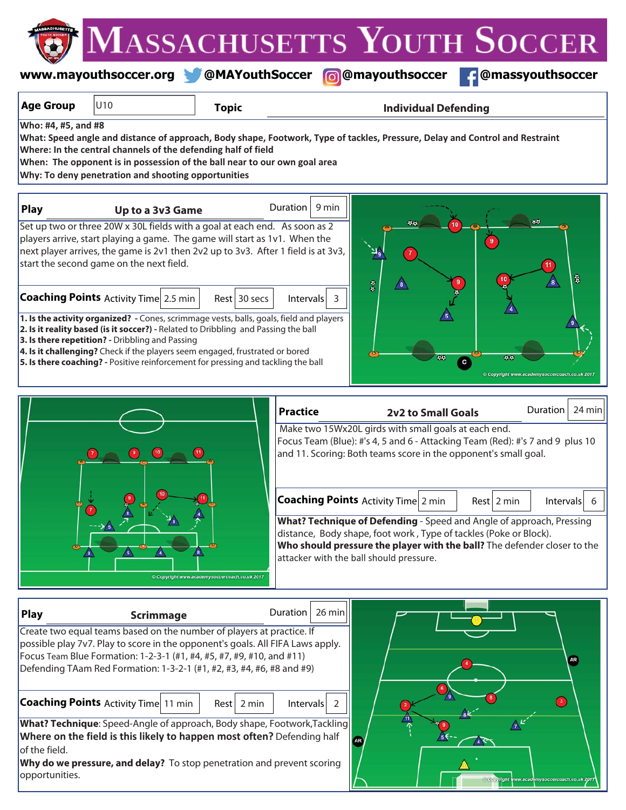**www.mayouthsoccer.org @MAYouthSoccer @mayouthsoccer @massyouthsoccer**

| <b>Age Group</b><br>U10                                                                                                                                                                                                                                                                                   | <b>Topic</b>                                | <b>Individual Defending</b>                                                                                                                                                                                                                                      |
|-----------------------------------------------------------------------------------------------------------------------------------------------------------------------------------------------------------------------------------------------------------------------------------------------------------|---------------------------------------------|------------------------------------------------------------------------------------------------------------------------------------------------------------------------------------------------------------------------------------------------------------------|
| Who: #4, #5, and #8<br>Where: In the central channels of the defending half of field<br>When: The opponent is in possession of the ball near to our own goal area<br>Why: To deny penetration and shooting opportunities                                                                                  |                                             | What: Speed angle and distance of approach, Body shape, Footwork, Type of tackles, Pressure, Delay and Control and Restraint                                                                                                                                     |
| Play<br>Up to a 3v3 Game                                                                                                                                                                                                                                                                                  |                                             | 9 min<br>Duration                                                                                                                                                                                                                                                |
| Set up two or three 20W x 30L fields with a goal at each end. As soon as 2<br>players arrive, start playing a game. The game will start as 1v1. When the<br>next player arrives, the game is 2v1 then 2v2 up to 3v3. After 1 field is at 3v3,<br>start the second game on the next field.                 |                                             | 붱<br>$\frac{a}{a}$<br>8                                                                                                                                                                                                                                          |
| <b>Coaching Points</b> Activity Time 2.5 min<br>1. Is the activity organized? - Cones, scrimmage vests, balls, goals, field and players<br>2. Is it reality based (is it soccer?) - Related to Dribbling and Passing the ball                                                                             | $Rest$ 30 secs                              | $\vert$ htervals $\vert$ 3                                                                                                                                                                                                                                       |
| 3. Is there repetition? - Dribbling and Passing<br>4. Is it challenging? Check if the players seem engaged, frustrated or bored<br>5. Is there coaching? - Positive reinforcement for pressing and tackling the ball                                                                                      |                                             | 55<br>Copyright www.academysoccercoach.co.uk 2017                                                                                                                                                                                                                |
|                                                                                                                                                                                                                                                                                                           |                                             | <b>Duration</b><br>24 min<br><b>Practice</b><br><b>2v2 to Small Goals</b>                                                                                                                                                                                        |
| Make two 15Wx20L girds with small goals at each end.<br>Focus Team (Blue): #'s 4, 5 and 6 - Attacking Team (Red): #'s 7 and 9 plus 10<br>and 11. Scoring: Both teams score in the opponent's small goal.                                                                                                  |                                             |                                                                                                                                                                                                                                                                  |
|                                                                                                                                                                                                                                                                                                           |                                             | <b>Coaching Points Activity Time 2 min</b><br>$Rest$ 2 min<br><b>Intervals</b><br>-6                                                                                                                                                                             |
|                                                                                                                                                                                                                                                                                                           | Copyright www.academysoccercoach.co.uk 2017 | What? Technique of Defending - Speed and Angle of approach, Pressing<br>distance, Body shape, foot work, Type of tackles (Poke or Block).<br>Who should pressure the player with the ball? The defender closer to the<br>attacker with the ball should pressure. |
| <b>Play</b><br><b>Scrimmage</b>                                                                                                                                                                                                                                                                           |                                             | 26 min<br>Duration                                                                                                                                                                                                                                               |
| Create two equal teams based on the number of players at practice. If<br>possible play 7v7. Play to score in the opponent's goals. All FIFA Laws apply.<br>Focus Team Blue Formation: 1-2-3-1 (#1, #4, #5, #7, #9, #10, and #11)<br>Defending TAam Red Formation: 1-3-2-1 (#1, #2, #3, #4, #6, #8 and #9) |                                             | AR <sub>.</sub>                                                                                                                                                                                                                                                  |

**Coaching Points** Activity Time 11 min | Rest | 2 min | Intervals | 2

 $Rest$  2 min

**AR** 

**What? Technique**: Speed-Angle of approach, Body shape, Footwork,Tackling **Where on the field is this likely to happen most often?** Defending half of the field.

**Why do we pressure, and delay?** To stop penetration and prevent scoring opportunities.

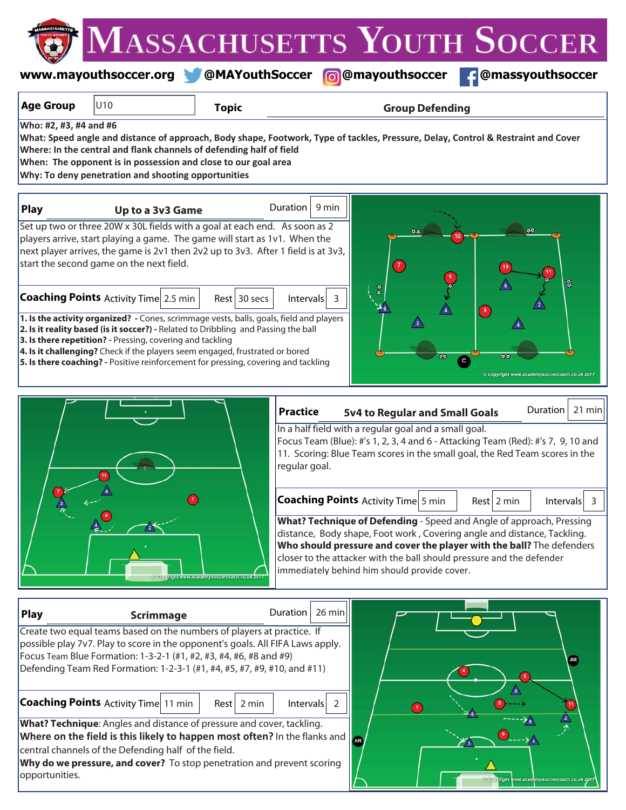MASSACHUSETTS YOUTH SOCCER **www.mayouthsoccer.org @MAYouthSoccer @mayouthsoccer @massyouthsoccer**

| soccer.org | <b>MAYouthSocce</b> |
|------------|---------------------|
|            |                     |

right www.academysoccercoach.co.uk 201

| <b>Age Group</b>       | U10                                                                                                                                                                                                                                                                                                                                                                                                              | <b>Topic</b> | <b>Group Defending</b>                                                                                                                                                                                                                                                                                                                                                                                                                                  |
|------------------------|------------------------------------------------------------------------------------------------------------------------------------------------------------------------------------------------------------------------------------------------------------------------------------------------------------------------------------------------------------------------------------------------------------------|--------------|---------------------------------------------------------------------------------------------------------------------------------------------------------------------------------------------------------------------------------------------------------------------------------------------------------------------------------------------------------------------------------------------------------------------------------------------------------|
| Who: #2, #3, #4 and #6 | Where: In the central and flank channels of defending half of field<br>When: The opponent is in possession and close to our goal area<br>Why: To deny penetration and shooting opportunities                                                                                                                                                                                                                     |              | What: Speed angle and distance of approach, Body shape, Footwork, Type of tackles, Pressure, Delay, Control & Restraint and Cover                                                                                                                                                                                                                                                                                                                       |
| <b>Play</b>            | Up to a 3v3 Game                                                                                                                                                                                                                                                                                                                                                                                                 |              | Duration $\vert$ 9 min                                                                                                                                                                                                                                                                                                                                                                                                                                  |
|                        | Set up two or three 20W x 30L fields with a goal at each end. As soon as 2<br>players arrive, start playing a game. The game will start as 1v1. When the<br>next player arrives, the game is 2v1 then 2v2 up to 3v3. After 1 field is at 3v3,<br>start the second game on the next field.<br><b>Coaching Points Activity Time 2.5 min</b>                                                                        | Rest 30 secs | $\overline{7}$<br>뤓<br>Intervals<br>3                                                                                                                                                                                                                                                                                                                                                                                                                   |
|                        | 1. Is the activity organized? - Cones, scrimmage vests, balls, goals, field and players<br>2. Is it reality based (is it soccer?) - Related to Dribbling and Passing the ball<br>3. Is there repetition? - Pressing, covering and tackling<br>4. Is it challenging? Check if the players seem engaged, frustrated or bored<br>5. Is there coaching? - Positive reinforcement for pressing, covering and tackling |              | $\overline{\mathbf{9}}$<br>44<br>${\bf c}$<br>Copyright www.academysoccercoach.co.uk 2017                                                                                                                                                                                                                                                                                                                                                               |
|                        |                                                                                                                                                                                                                                                                                                                                                                                                                  |              | 21 min<br>Duration<br><b>Practice</b><br>5v4 to Regular and Small Goals<br>In a half field with a regular goal and a small goal.<br>Focus Team (Blue): #'s 1, 2, 3, 4 and 6 - Attacking Team (Red): #'s 7, 9, 10 and<br>11. Scoring: Blue Team scores in the small goal, the Red Team scores in the<br>regular goal.                                                                                                                                    |
|                        |                                                                                                                                                                                                                                                                                                                                                                                                                  |              | <b>Coaching Points Activity Time 5 min</b><br>$Rest$ 2 min<br>Intervals<br>$\overline{\mathbf{3}}$<br>What? Technique of Defending - Speed and Angle of approach, Pressing<br>distance, Body shape, Foot work, Covering angle and distance, Tackling.<br>Who should pressure and cover the player with the ball? The defenders<br>closer to the attacker with the ball should pressure and the defender<br>immediately behind him should provide cover. |
| <b>Play</b>            | <b>Scrimmage</b>                                                                                                                                                                                                                                                                                                                                                                                                 |              | Duration<br>$26$ min                                                                                                                                                                                                                                                                                                                                                                                                                                    |
|                        | Create two equal teams based on the numbers of players at practice. If<br>possible play 7v7. Play to score in the opponent's goals. All FIFA Laws apply.<br>Focus Team Blue Formation: 1-3-2-1 (#1, #2, #3, #4, #6, #8 and #9)<br>Defending Team Red Formation: 1-2-3-1 (#1, #4, #5, #7, #9, #10, and #11)                                                                                                       |              | AR.                                                                                                                                                                                                                                                                                                                                                                                                                                                     |
| opportunities.         | <b>Coaching Points Activity Time 11 min</b><br>What? Technique: Angles and distance of pressure and cover, tackling.<br>Where on the field is this likely to happen most often? In the flanks and<br>central channels of the Defending half of the field.<br>Why do we pressure, and cover? To stop penetration and prevent scoring                                                                              | $Rest$ 2 min | /9<br>Intervals<br>-2<br>$\left( \mathbf{r} \right)$<br>AR.                                                                                                                                                                                                                                                                                                                                                                                             |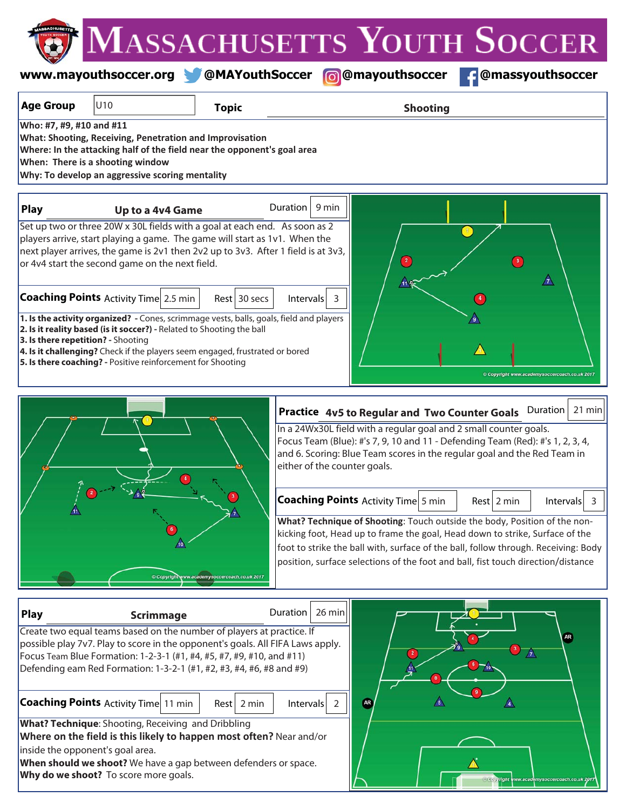## **www.mayouthsoccer.org @MAYouthSoccer @mayouthsoccer @massyouthsoccer**

| <b>Age Group</b>                   | U10                                                                                                                                                                                                                                                                                                                                                                                                                                                                                                                                                                                                                                                                 | <b>Topic</b>                                | <b>Shooting</b>                                                                                                                                                                                                                                                                                                                                                                                                                           |  |  |  |
|------------------------------------|---------------------------------------------------------------------------------------------------------------------------------------------------------------------------------------------------------------------------------------------------------------------------------------------------------------------------------------------------------------------------------------------------------------------------------------------------------------------------------------------------------------------------------------------------------------------------------------------------------------------------------------------------------------------|---------------------------------------------|-------------------------------------------------------------------------------------------------------------------------------------------------------------------------------------------------------------------------------------------------------------------------------------------------------------------------------------------------------------------------------------------------------------------------------------------|--|--|--|
| Who: #7, #9, #10 and #11           | What: Shooting, Receiving, Penetration and Improvisation<br>Where: In the attacking half of the field near the opponent's goal area<br>When: There is a shooting window<br>Why: To develop an aggressive scoring mentality                                                                                                                                                                                                                                                                                                                                                                                                                                          |                                             |                                                                                                                                                                                                                                                                                                                                                                                                                                           |  |  |  |
| <b>Play</b>                        | Up to a 4v4 Game                                                                                                                                                                                                                                                                                                                                                                                                                                                                                                                                                                                                                                                    |                                             | 9 min<br><b>Duration</b>                                                                                                                                                                                                                                                                                                                                                                                                                  |  |  |  |
| 3. Is there repetition? - Shooting | Set up two or three 20W x 30L fields with a goal at each end. As soon as 2<br>players arrive, start playing a game. The game will start as 1v1. When the<br>next player arrives, the game is 2v1 then 2v2 up to 3v3. After 1 field is at 3v3,<br>or 4v4 start the second game on the next field.<br><b>Coaching Points</b> Activity Time 2.5 min<br>1. Is the activity organized? - Cones, scrimmage vests, balls, goals, field and players<br>2. Is it reality based (is it soccer?) - Related to Shooting the ball<br>4. Is it challenging? Check if the players seem engaged, frustrated or bored<br>5. Is there coaching? - Positive reinforcement for Shooting | Rest 30 secs                                | $\mathbb{1}$<br>$\left( \begin{array}{c} 2 \end{array} \right)$<br>$\mathbb{A}$<br>Intervals<br>3<br>Copyright www.academysoccercoach.co.uk 2017                                                                                                                                                                                                                                                                                          |  |  |  |
|                                    |                                                                                                                                                                                                                                                                                                                                                                                                                                                                                                                                                                                                                                                                     |                                             | 21 min<br>Duration                                                                                                                                                                                                                                                                                                                                                                                                                        |  |  |  |
|                                    |                                                                                                                                                                                                                                                                                                                                                                                                                                                                                                                                                                                                                                                                     |                                             | Practice 4v5 to Regular and Two Counter Goals<br>In a 24Wx30L field with a regular goal and 2 small counter goals.<br>Focus Team (Blue): #'s 7, 9, 10 and 11 - Defending Team (Red): #'s 1, 2, 3, 4,<br>and 6. Scoring: Blue Team scores in the regular goal and the Red Team in<br>either of the counter goals.                                                                                                                          |  |  |  |
|                                    |                                                                                                                                                                                                                                                                                                                                                                                                                                                                                                                                                                                                                                                                     | Copyright www.academysoccercoach.co.uk 2017 | <b>Coaching Points Activity Time 5 min</b><br>$Rest$ 2 min<br>Intervals<br>$\overline{\mathbf{3}}$<br>What? Technique of Shooting: Touch outside the body, Position of the non-<br>kicking foot, Head up to frame the goal, Head down to strike, Surface of the<br>foot to strike the ball with, surface of the ball, follow through. Receiving: Body<br>position, surface selections of the foot and ball, fist touch direction/distance |  |  |  |
| Play                               | <b>Scrimmage</b>                                                                                                                                                                                                                                                                                                                                                                                                                                                                                                                                                                                                                                                    |                                             | 26 min<br>Duration                                                                                                                                                                                                                                                                                                                                                                                                                        |  |  |  |
| inside the opponent's goal area.   | Create two equal teams based on the number of players at practice. If<br>possible play 7v7. Play to score in the opponent's goals. All FIFA Laws apply.<br>Focus Team Blue Formation: 1-2-3-1 (#1, #4, #5, #7, #9, #10, and #11)<br>Defending eam Red Formation: 1-3-2-1 (#1, #2, #3, #4, #6, #8 and #9)<br><b>Coaching Points Activity Time 11 min</b><br><b>What? Technique:</b> Shooting, Receiving and Dribbling<br>Where on the field is this likely to happen most often? Near and/or<br>When should we shoot? We have a gap between defenders or space.<br>Why do we shoot? To score more goals.                                                             | Rest 2 min                                  | ÅR)<br>$\left  \right $<br>$\sqrt{3}$<br>$\mathbb A$<br><b>AR</b><br>$\overline{2}$<br>Intervals                                                                                                                                                                                                                                                                                                                                          |  |  |  |

 $\Box$